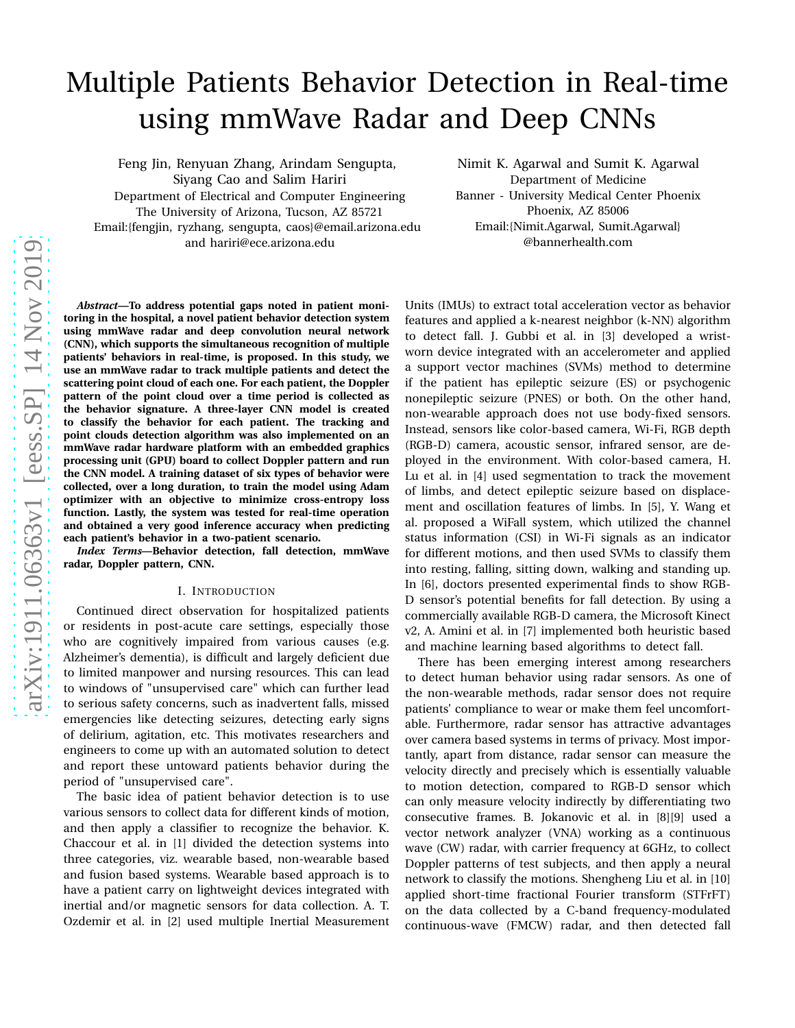# Multiple Patients Behavior Detection in Real-time using mmWave Radar and Deep CNNs

Feng Jin, Renyuan Zhang, Arindam Sengupta, Siyang Cao and Salim Hariri Department of Electrical and Computer Engineering The University of Arizona, Tucson, AZ 85721 Email:{fengjin, ryzhang, sengupta, caos}@email.arizona.edu and hariri@ece.arizona.edu

Nimit K. Agarwal and Sumit K. Agarwal Department of Medicine Banner - University Medical Center Phoenix Phoenix, AZ 85006 Email:{Nimit.Agarwal, Sumit.Agarwal} @bannerhealth.com

*Abstract***—To address potential gaps noted in patient monitoring in the hospital, a novel patient behavior detection system using mmWave radar and deep convolution neural network (CNN), which supports the simultaneous recognition of multiple patients' behaviors in real-time, is proposed. In this study, we use an mmWave radar to track multiple patients and detect the scattering point cloud of each one. For each patient, the Doppler pattern of the point cloud over a time period is collected as the behavior signature. A three-layer CNN model is created to classify the behavior for each patient. The tracking and point clouds detection algorithm was also implemented on an mmWave radar hardware platform with an embedded graphics processing unit (GPU) board to collect Doppler pattern and run the CNN model. A training dataset of six types of behavior were collected, over a long duration, to train the model using Adam optimizer with an objective to minimize cross-entropy loss function. Lastly, the system was tested for real-time operation and obtained a very good inference accuracy when predicting each patient's behavior in a two-patient scenario.**

*Index Terms***—Behavior detection, fall detection, mmWave radar, Doppler pattern, CNN.**

#### I. INTRODUCTION

Continued direct observation for hospitalized patients or residents in post-acute care settings, especially those who are cognitively impaired from various causes (e.g. Alzheimer's dementia), is difficult and largely deficient due to limited manpower and nursing resources. This can lead to windows of "unsupervised care" which can further lead to serious safety concerns, such as inadvertent falls, missed emergencies like detecting seizures, detecting early signs of delirium, agitation, etc. This motivates researchers and engineers to come up with an automated solution to detect and report these untoward patients behavior during the period of "unsupervised care".

The basic idea of patient behavior detection is to use various sensors to collect data for different kinds of motion, and then apply a classifier to recognize the behavior. K. Chaccour et al. in [1] divided the detection systems into three categories, viz. wearable based, non-wearable based and fusion based systems. Wearable based approach is to have a patient carry on lightweight devices integrated with inertial and/or magnetic sensors for data collection. A. T. Ozdemir et al. in [2] used multiple Inertial Measurement Units (IMUs) to extract total acceleration vector as behavior features and applied a k-nearest neighbor (k-NN) algorithm to detect fall. J. Gubbi et al. in [3] developed a wristworn device integrated with an accelerometer and applied a support vector machines (SVMs) method to determine if the patient has epileptic seizure (ES) or psychogenic nonepileptic seizure (PNES) or both. On the other hand, non-wearable approach does not use body-fixed sensors. Instead, sensors like color-based camera, Wi-Fi, RGB depth (RGB-D) camera, acoustic sensor, infrared sensor, are deployed in the environment. With color-based camera, H. Lu et al. in [4] used segmentation to track the movement of limbs, and detect epileptic seizure based on displacement and oscillation features of limbs. In [5], Y. Wang et al. proposed a WiFall system, which utilized the channel status information (CSI) in Wi-Fi signals as an indicator for different motions, and then used SVMs to classify them into resting, falling, sitting down, walking and standing up. In [6], doctors presented experimental finds to show RGB-D sensor's potential benefits for fall detection. By using a commercially available RGB-D camera, the Microsoft Kinect v2, A. Amini et al. in [7] implemented both heuristic based and machine learning based algorithms to detect fall.

There has been emerging interest among researchers to detect human behavior using radar sensors. As one of the non-wearable methods, radar sensor does not require patients' compliance to wear or make them feel uncomfortable. Furthermore, radar sensor has attractive advantages over camera based systems in terms of privacy. Most importantly, apart from distance, radar sensor can measure the velocity directly and precisely which is essentially valuable to motion detection, compared to RGB-D sensor which can only measure velocity indirectly by differentiating two consecutive frames. B. Jokanovic et al. in [8][9] used a vector network analyzer (VNA) working as a continuous wave (CW) radar, with carrier frequency at 6GHz, to collect Doppler patterns of test subjects, and then apply a neural network to classify the motions. Shengheng Liu et al. in [10] applied short-time fractional Fourier transform (STFrFT) on the data collected by a C-band frequency-modulated continuous-wave (FMCW) radar, and then detected fall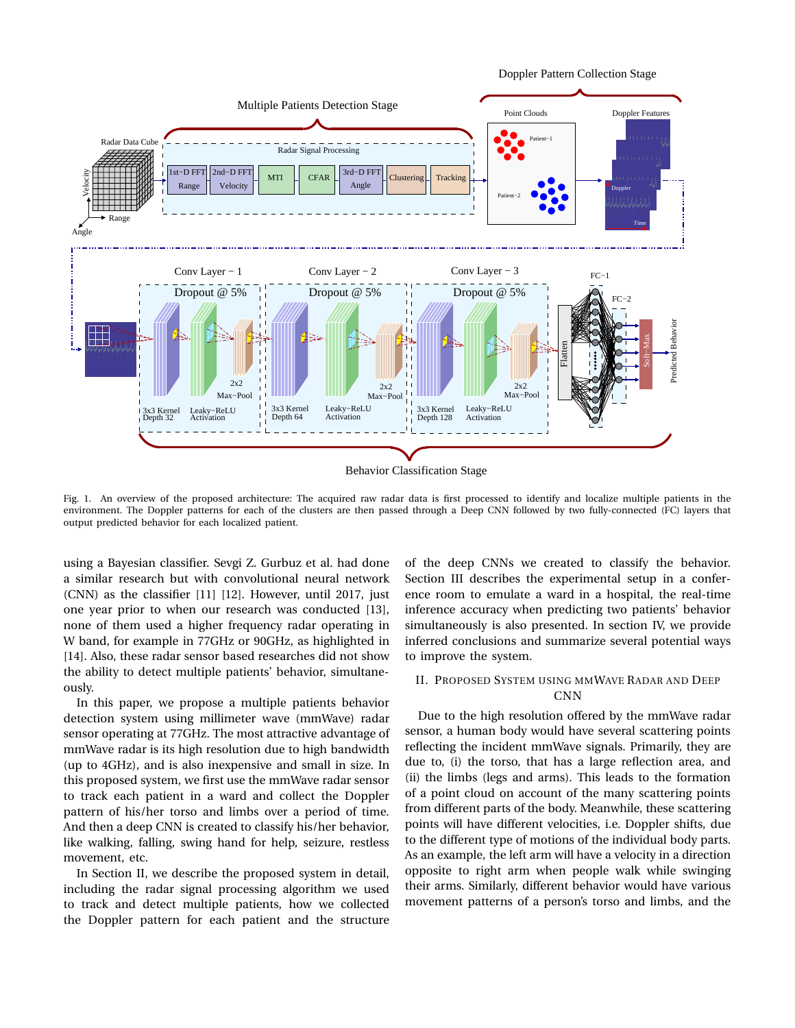

Fig. 1. An overview of the proposed architecture: The acquired raw radar data is first processed to identify and localize multiple patients in the environment. The Doppler patterns for each of the clusters are then passed through a Deep CNN followed by two fully-connected (FC) layers that output predicted behavior for each localized patient.

using a Bayesian classifier. Sevgi Z. Gurbuz et al. had done a similar research but with convolutional neural network (CNN) as the classifier [11] [12]. However, until 2017, just one year prior to when our research was conducted [13], none of them used a higher frequency radar operating in W band, for example in 77GHz or 90GHz, as highlighted in [14]. Also, these radar sensor based researches did not show the ability to detect multiple patients' behavior, simultaneously.

In this paper, we propose a multiple patients behavior detection system using millimeter wave (mmWave) radar sensor operating at 77GHz. The most attractive advantage of mmWave radar is its high resolution due to high bandwidth (up to 4GHz), and is also inexpensive and small in size. In this proposed system, we first use the mmWave radar sensor to track each patient in a ward and collect the Doppler pattern of his/her torso and limbs over a period of time. And then a deep CNN is created to classify his/her behavior, like walking, falling, swing hand for help, seizure, restless movement, etc.

In Section II, we describe the proposed system in detail, including the radar signal processing algorithm we used to track and detect multiple patients, how we collected the Doppler pattern for each patient and the structure of the deep CNNs we created to classify the behavior. Section III describes the experimental setup in a conference room to emulate a ward in a hospital, the real-time inference accuracy when predicting two patients' behavior simultaneously is also presented. In section IV, we provide inferred conclusions and summarize several potential ways to improve the system.

## II. PROPOSED SYSTEM USING MMWAVE RADAR AND DEEP CNN

Due to the high resolution offered by the mmWave radar sensor, a human body would have several scattering points reflecting the incident mmWave signals. Primarily, they are due to, (i) the torso, that has a large reflection area, and (ii) the limbs (legs and arms). This leads to the formation of a point cloud on account of the many scattering points from different parts of the body. Meanwhile, these scattering points will have different velocities, i.e. Doppler shifts, due to the different type of motions of the individual body parts. As an example, the left arm will have a velocity in a direction opposite to right arm when people walk while swinging their arms. Similarly, different behavior would have various movement patterns of a person's torso and limbs, and the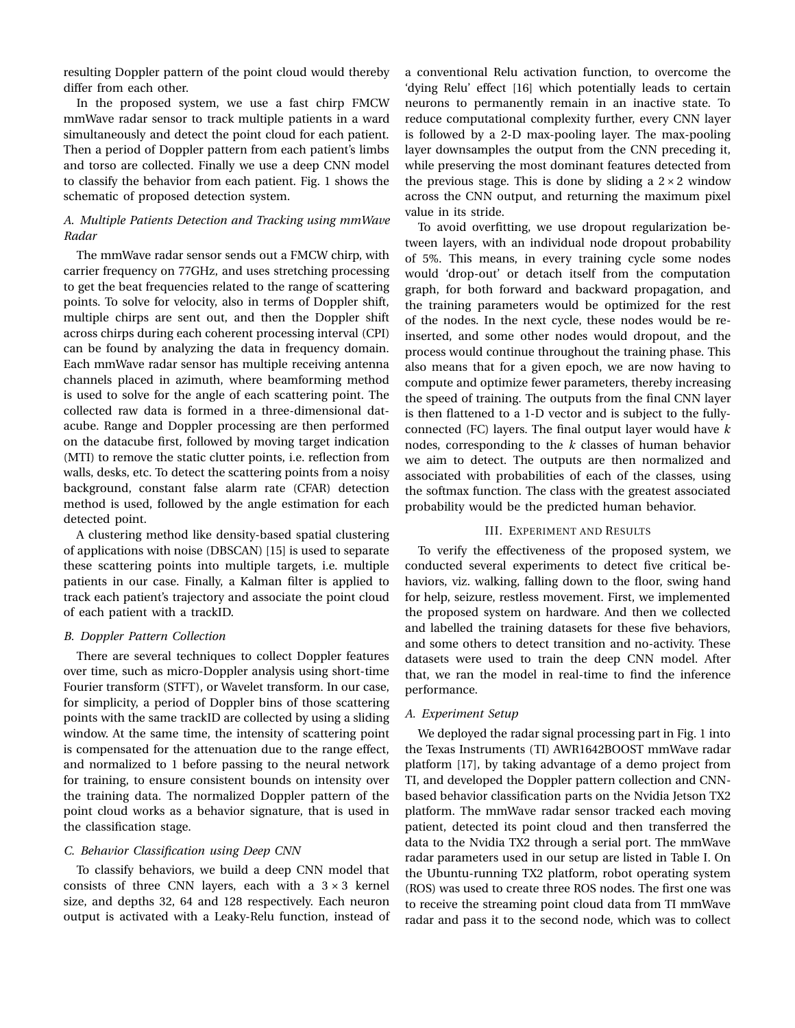resulting Doppler pattern of the point cloud would thereby differ from each other.

In the proposed system, we use a fast chirp FMCW mmWave radar sensor to track multiple patients in a ward simultaneously and detect the point cloud for each patient. Then a period of Doppler pattern from each patient's limbs and torso are collected. Finally we use a deep CNN model to classify the behavior from each patient. Fig. 1 shows the schematic of proposed detection system.

# *A. Multiple Patients Detection and Tracking using mmWave Radar*

The mmWave radar sensor sends out a FMCW chirp, with carrier frequency on 77GHz, and uses stretching processing to get the beat frequencies related to the range of scattering points. To solve for velocity, also in terms of Doppler shift, multiple chirps are sent out, and then the Doppler shift across chirps during each coherent processing interval (CPI) can be found by analyzing the data in frequency domain. Each mmWave radar sensor has multiple receiving antenna channels placed in azimuth, where beamforming method is used to solve for the angle of each scattering point. The collected raw data is formed in a three-dimensional datacube. Range and Doppler processing are then performed on the datacube first, followed by moving target indication (MTI) to remove the static clutter points, i.e. reflection from walls, desks, etc. To detect the scattering points from a noisy background, constant false alarm rate (CFAR) detection method is used, followed by the angle estimation for each detected point.

A clustering method like density-based spatial clustering of applications with noise (DBSCAN) [15] is used to separate these scattering points into multiple targets, i.e. multiple patients in our case. Finally, a Kalman filter is applied to track each patient's trajectory and associate the point cloud of each patient with a trackID.

#### *B. Doppler Pattern Collection*

There are several techniques to collect Doppler features over time, such as micro-Doppler analysis using short-time Fourier transform (STFT), or Wavelet transform. In our case, for simplicity, a period of Doppler bins of those scattering points with the same trackID are collected by using a sliding window. At the same time, the intensity of scattering point is compensated for the attenuation due to the range effect, and normalized to 1 before passing to the neural network for training, to ensure consistent bounds on intensity over the training data. The normalized Doppler pattern of the point cloud works as a behavior signature, that is used in the classification stage.

#### *C. Behavior Classification using Deep CNN*

To classify behaviors, we build a deep CNN model that consists of three CNN layers, each with a  $3 \times 3$  kernel size, and depths 32, 64 and 128 respectively. Each neuron output is activated with a Leaky-Relu function, instead of a conventional Relu activation function, to overcome the 'dying Relu' effect [16] which potentially leads to certain neurons to permanently remain in an inactive state. To reduce computational complexity further, every CNN layer is followed by a 2-D max-pooling layer. The max-pooling layer downsamples the output from the CNN preceding it, while preserving the most dominant features detected from the previous stage. This is done by sliding a  $2 \times 2$  window across the CNN output, and returning the maximum pixel value in its stride.

To avoid overfitting, we use dropout regularization between layers, with an individual node dropout probability of 5%. This means, in every training cycle some nodes would 'drop-out' or detach itself from the computation graph, for both forward and backward propagation, and the training parameters would be optimized for the rest of the nodes. In the next cycle, these nodes would be reinserted, and some other nodes would dropout, and the process would continue throughout the training phase. This also means that for a given epoch, we are now having to compute and optimize fewer parameters, thereby increasing the speed of training. The outputs from the final CNN layer is then flattened to a 1-D vector and is subject to the fullyconnected (FC) layers. The final output layer would have *k* nodes, corresponding to the *k* classes of human behavior we aim to detect. The outputs are then normalized and associated with probabilities of each of the classes, using the softmax function. The class with the greatest associated probability would be the predicted human behavior.

#### III. EXPERIMENT AND RESULTS

To verify the effectiveness of the proposed system, we conducted several experiments to detect five critical behaviors, viz. walking, falling down to the floor, swing hand for help, seizure, restless movement. First, we implemented the proposed system on hardware. And then we collected and labelled the training datasets for these five behaviors, and some others to detect transition and no-activity. These datasets were used to train the deep CNN model. After that, we ran the model in real-time to find the inference performance.

#### *A. Experiment Setup*

We deployed the radar signal processing part in Fig. 1 into the Texas Instruments (TI) AWR1642BOOST mmWave radar platform [17], by taking advantage of a demo project from TI, and developed the Doppler pattern collection and CNNbased behavior classification parts on the Nvidia Jetson TX2 platform. The mmWave radar sensor tracked each moving patient, detected its point cloud and then transferred the data to the Nvidia TX2 through a serial port. The mmWave radar parameters used in our setup are listed in Table I. On the Ubuntu-running TX2 platform, robot operating system (ROS) was used to create three ROS nodes. The first one was to receive the streaming point cloud data from TI mmWave radar and pass it to the second node, which was to collect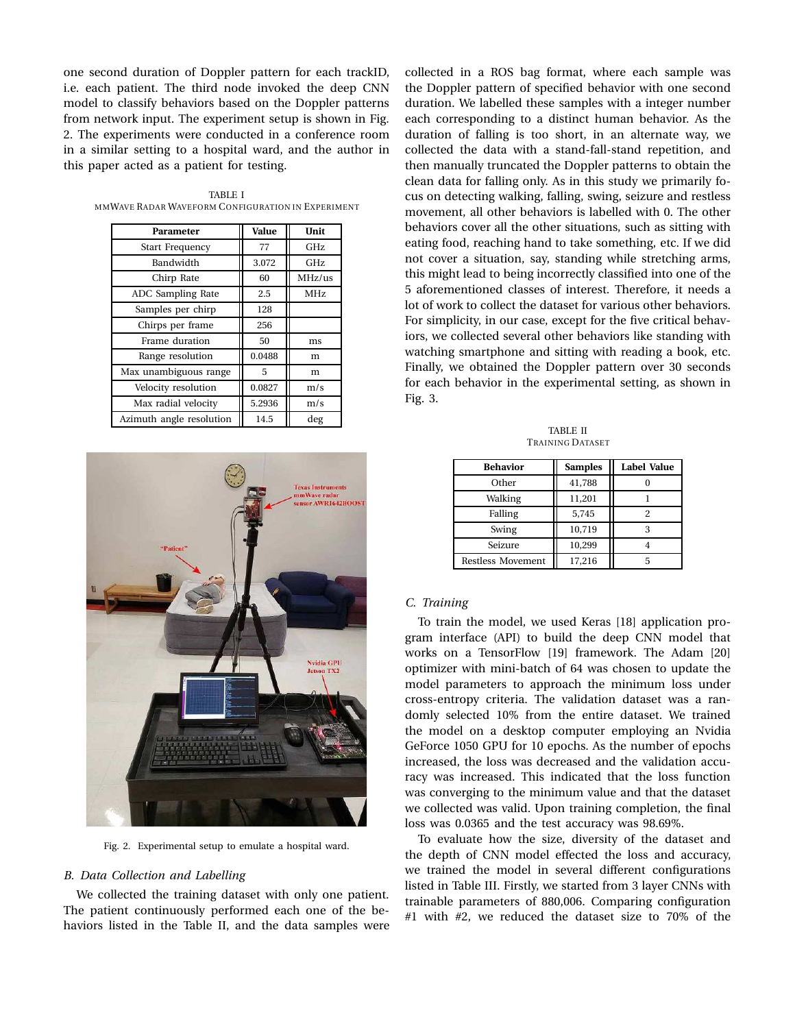one second duration of Doppler pattern for each trackID, i.e. each patient. The third node invoked the deep CNN model to classify behaviors based on the Doppler patterns from network input. The experiment setup is shown in Fig. 2. The experiments were conducted in a conference room in a similar setting to a hospital ward, and the author in this paper acted as a patient for testing.

TABLE I MMWAVE RADAR WAVEFORM CONFIGURATION IN EXPERIMENT

| Parameter                | Value  | Unit       |
|--------------------------|--------|------------|
| <b>Start Frequency</b>   | 77     | GHz        |
| Bandwidth                | 3.072  | GHz        |
| Chirp Rate               | 60     | $MHz$ /us  |
| <b>ADC</b> Sampling Rate | 2.5    | <b>MHz</b> |
| Samples per chirp        | 128    |            |
| Chirps per frame         | 256    |            |
| Frame duration           | 50     | ms         |
| Range resolution         | 0.0488 | m          |
| Max unambiguous range    | 5      | m          |
| Velocity resolution      | 0.0827 | m/s        |
| Max radial velocity      | 5.2936 | m/s        |
| Azimuth angle resolution | 14.5   | deg        |



Fig. 2. Experimental setup to emulate a hospital ward.

## *B. Data Collection and Labelling*

We collected the training dataset with only one patient. The patient continuously performed each one of the behaviors listed in the Table II, and the data samples were

collected in a ROS bag format, where each sample was the Doppler pattern of specified behavior with one second duration. We labelled these samples with a integer number each corresponding to a distinct human behavior. As the duration of falling is too short, in an alternate way, we collected the data with a stand-fall-stand repetition, and then manually truncated the Doppler patterns to obtain the clean data for falling only. As in this study we primarily focus on detecting walking, falling, swing, seizure and restless movement, all other behaviors is labelled with 0. The other behaviors cover all the other situations, such as sitting with eating food, reaching hand to take something, etc. If we did not cover a situation, say, standing while stretching arms, this might lead to being incorrectly classified into one of the 5 aforementioned classes of interest. Therefore, it needs a lot of work to collect the dataset for various other behaviors. For simplicity, in our case, except for the five critical behaviors, we collected several other behaviors like standing with watching smartphone and sitting with reading a book, etc. Finally, we obtained the Doppler pattern over 30 seconds for each behavior in the experimental setting, as shown in Fig. 3.

TABLE II TRAINING DATASET

| <b>Behavior</b>   | <b>Samples</b> | <b>Label Value</b>       |
|-------------------|----------------|--------------------------|
| Other             | 41,788         |                          |
| Walking           | 11,201         |                          |
| Falling           | 5,745          | $\overline{\mathcal{L}}$ |
| Swing             | 10,719         | 3                        |
| Seizure           | 10,299         |                          |
| Restless Movement | 17,216         | 5                        |

#### *C. Training*

To train the model, we used Keras [18] application program interface (API) to build the deep CNN model that works on a TensorFlow [19] framework. The Adam [20] optimizer with mini-batch of 64 was chosen to update the model parameters to approach the minimum loss under cross-entropy criteria. The validation dataset was a randomly selected 10% from the entire dataset. We trained the model on a desktop computer employing an Nvidia GeForce 1050 GPU for 10 epochs. As the number of epochs increased, the loss was decreased and the validation accuracy was increased. This indicated that the loss function was converging to the minimum value and that the dataset we collected was valid. Upon training completion, the final loss was 0.0365 and the test accuracy was 98.69%.

To evaluate how the size, diversity of the dataset and the depth of CNN model effected the loss and accuracy, we trained the model in several different configurations listed in Table III. Firstly, we started from 3 layer CNNs with trainable parameters of 880,006. Comparing configuration #1 with #2, we reduced the dataset size to 70% of the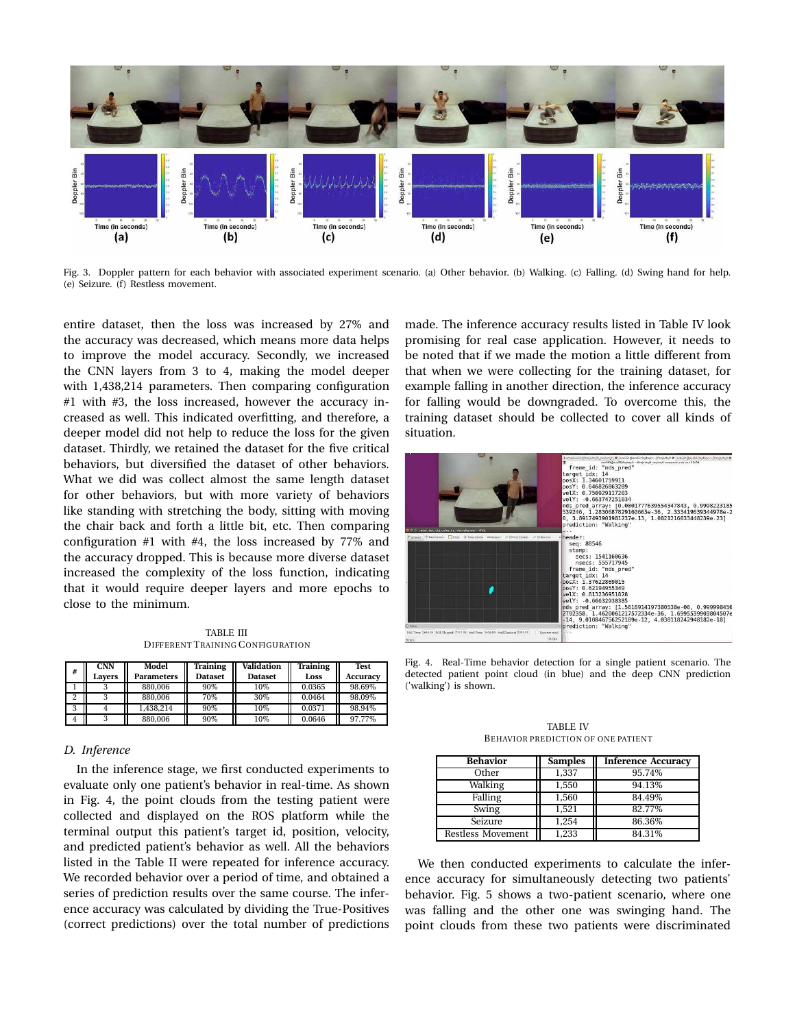

Fig. 3. Doppler pattern for each behavior with associated experiment scenario. (a) Other behavior. (b) Walking. (c) Falling. (d) Swing hand for help. (e) Seizure. (f) Restless movement.

entire dataset, then the loss was increased by 27% and the accuracy was decreased, which means more data helps to improve the model accuracy. Secondly, we increased the CNN layers from 3 to 4, making the model deeper with 1,438,214 parameters. Then comparing configuration #1 with #3, the loss increased, however the accuracy increased as well. This indicated overfitting, and therefore, a deeper model did not help to reduce the loss for the given dataset. Thirdly, we retained the dataset for the five critical behaviors, but diversified the dataset of other behaviors. What we did was collect almost the same length dataset for other behaviors, but with more variety of behaviors like standing with stretching the body, sitting with moving the chair back and forth a little bit, etc. Then comparing configuration #1 with #4, the loss increased by 77% and the accuracy dropped. This is because more diverse dataset increased the complexity of the loss function, indicating that it would require deeper layers and more epochs to close to the minimum.

TABLE III DIFFERENT TRAINING CONFIGURATION

| # | <b>CNN</b><br>Lavers | Model<br>Parameters | <b>Training</b><br><b>Dataset</b> | <b>Validation</b><br><b>Dataset</b> | Training<br>Loss | <b>Test</b><br>Accuracy |
|---|----------------------|---------------------|-----------------------------------|-------------------------------------|------------------|-------------------------|
|   |                      | 880,006             | 90%                               | 10%                                 | 0.0365           | 98.69%                  |
|   |                      | 880,006             | 70%                               | 30%                                 | 0.0464           | 98.09%                  |
| 3 |                      | 1.438.214           | 90%                               | 10%                                 | 0.0371           | 98.94%                  |
|   |                      | 880,006             | 90%                               | 10%                                 | 0.0646           | 97.77%                  |

## *D. Inference*

In the inference stage, we first conducted experiments to evaluate only one patient's behavior in real-time. As shown in Fig. 4, the point clouds from the testing patient were collected and displayed on the ROS platform while the terminal output this patient's target id, position, velocity, and predicted patient's behavior as well. All the behaviors listed in the Table II were repeated for inference accuracy. We recorded behavior over a period of time, and obtained a series of prediction results over the same course. The inference accuracy was calculated by dividing the True-Positives (correct predictions) over the total number of predictions

made. The inference accuracy results listed in Table IV look promising for real case application. However, it needs to be noted that if we made the motion a little different from that when we were collecting for the training dataset, for example falling in another direction, the inference accuracy for falling would be downgraded. To overcome this, the training dataset should be collected to cover all kinds of situation.



Fig. 4. Real-Time behavior detection for a single patient scenario. The detected patient point cloud (in blue) and the deep CNN prediction ('walking') is shown.

TABLE IV BEHAVIOR PREDICTION OF ONE PATIENT

| <b>Behavior</b>   | <b>Samples</b> | <b>Inference Accuracy</b> |
|-------------------|----------------|---------------------------|
| Other             | 1,337          | 95.74%                    |
| Walking           | 1,550          | 94.13%                    |
| Falling           | 1,560          | 84.49%                    |
| Swing             | 1,521          | 82.77%                    |
| Seizure           | 1.254          | 86.36%                    |
| Restless Movement | 1,233          | 84.31%                    |

We then conducted experiments to calculate the inference accuracy for simultaneously detecting two patients' behavior. Fig. 5 shows a two-patient scenario, where one was falling and the other one was swinging hand. The point clouds from these two patients were discriminated